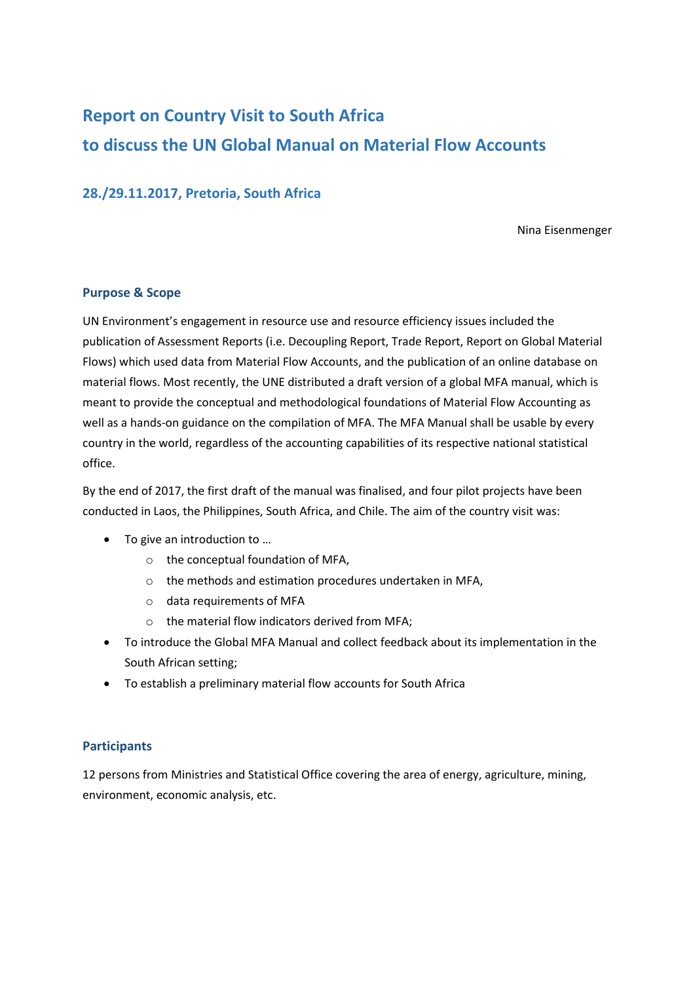# **Report on Country Visit to South Africa to discuss the UN Global Manual on Material Flow Accounts**

# **28./29.11.2017, Pretoria, South Africa**

Nina Eisenmenger

## **Purpose & Scope**

UN Environment's engagement in resource use and resource efficiency issues included the publication of Assessment Reports (i.e. Decoupling Report, Trade Report, Report on Global Material Flows) which used data from Material Flow Accounts, and the publication of an online database on material flows. Most recently, the UNE distributed a draft version of a global MFA manual, which is meant to provide the conceptual and methodological foundations of Material Flow Accounting as well as a hands-on guidance on the compilation of MFA. The MFA Manual shall be usable by every country in the world, regardless of the accounting capabilities of its respective national statistical office.

By the end of 2017, the first draft of the manual was finalised, and four pilot projects have been conducted in Laos, the Philippines, South Africa, and Chile. The aim of the country visit was:

- To give an introduction to ...
	- o the conceptual foundation of MFA,
	- o the methods and estimation procedures undertaken in MFA,
	- o data requirements of MFA
	- o the material flow indicators derived from MFA;
- To introduce the Global MFA Manual and collect feedback about its implementation in the South African setting;
- To establish a preliminary material flow accounts for South Africa

## **Participants**

12 persons from Ministries and Statistical Office covering the area of energy, agriculture, mining, environment, economic analysis, etc.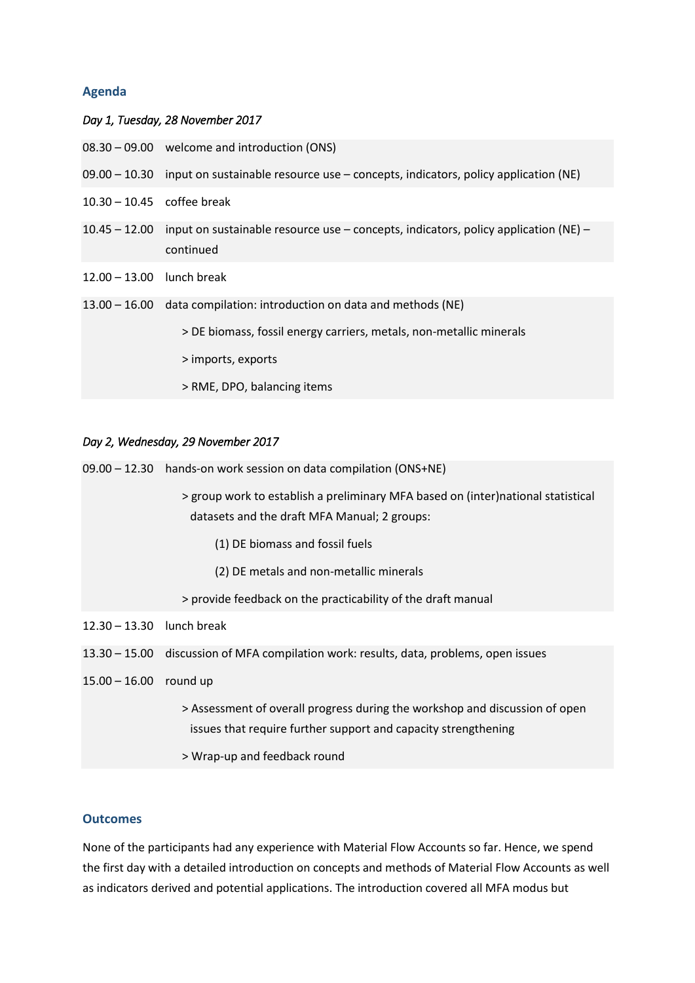## **Agenda**

### *Day 1, Tuesday, 28 November 2017*

- 08.30 09.00 welcome and introduction (ONS)
- 09.00 10.30 input on sustainable resource use concepts, indicators, policy application (NE)
- 10.30 10.45 coffee break
- 10.45 12.00 input on sustainable resource use concepts, indicators, policy application (NE) continued
- 12.00 13.00 lunch break
- 13.00 16.00 data compilation: introduction on data and methods (NE)
	- > DE biomass, fossil energy carriers, metals, non-metallic minerals
	- > imports, exports
	- > RME, DPO, balancing items

#### *Day 2, Wednesday, 29 November 2017*

09.00 – 12.30 hands-on work session on data compilation (ONS+NE) > group work to establish a preliminary MFA based on (inter)national statistical datasets and the draft MFA Manual; 2 groups: (1) DE biomass and fossil fuels (2) DE metals and non-metallic minerals > provide feedback on the practicability of the draft manual 12.30 – 13.30 lunch break 13.30 – 15.00 discussion of MFA compilation work: results, data, problems, open issues 15.00 – 16.00 round up > Assessment of overall progress during the workshop and discussion of open issues that require further support and capacity strengthening > Wrap-up and feedback round

#### **Outcomes**

None of the participants had any experience with Material Flow Accounts so far. Hence, we spend the first day with a detailed introduction on concepts and methods of Material Flow Accounts as well as indicators derived and potential applications. The introduction covered all MFA modus but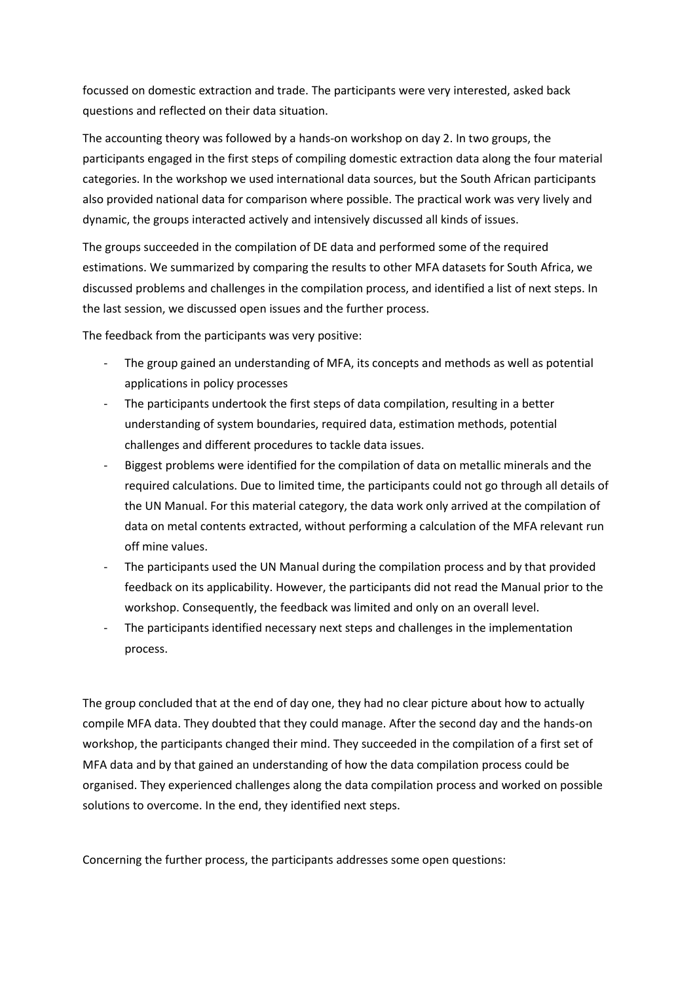focussed on domestic extraction and trade. The participants were very interested, asked back questions and reflected on their data situation.

The accounting theory was followed by a hands-on workshop on day 2. In two groups, the participants engaged in the first steps of compiling domestic extraction data along the four material categories. In the workshop we used international data sources, but the South African participants also provided national data for comparison where possible. The practical work was very lively and dynamic, the groups interacted actively and intensively discussed all kinds of issues.

The groups succeeded in the compilation of DE data and performed some of the required estimations. We summarized by comparing the results to other MFA datasets for South Africa, we discussed problems and challenges in the compilation process, and identified a list of next steps. In the last session, we discussed open issues and the further process.

The feedback from the participants was very positive:

- The group gained an understanding of MFA, its concepts and methods as well as potential applications in policy processes
- The participants undertook the first steps of data compilation, resulting in a better understanding of system boundaries, required data, estimation methods, potential challenges and different procedures to tackle data issues.
- Biggest problems were identified for the compilation of data on metallic minerals and the required calculations. Due to limited time, the participants could not go through all details of the UN Manual. For this material category, the data work only arrived at the compilation of data on metal contents extracted, without performing a calculation of the MFA relevant run off mine values.
- The participants used the UN Manual during the compilation process and by that provided feedback on its applicability. However, the participants did not read the Manual prior to the workshop. Consequently, the feedback was limited and only on an overall level.
- The participants identified necessary next steps and challenges in the implementation process.

The group concluded that at the end of day one, they had no clear picture about how to actually compile MFA data. They doubted that they could manage. After the second day and the hands-on workshop, the participants changed their mind. They succeeded in the compilation of a first set of MFA data and by that gained an understanding of how the data compilation process could be organised. They experienced challenges along the data compilation process and worked on possible solutions to overcome. In the end, they identified next steps.

Concerning the further process, the participants addresses some open questions: